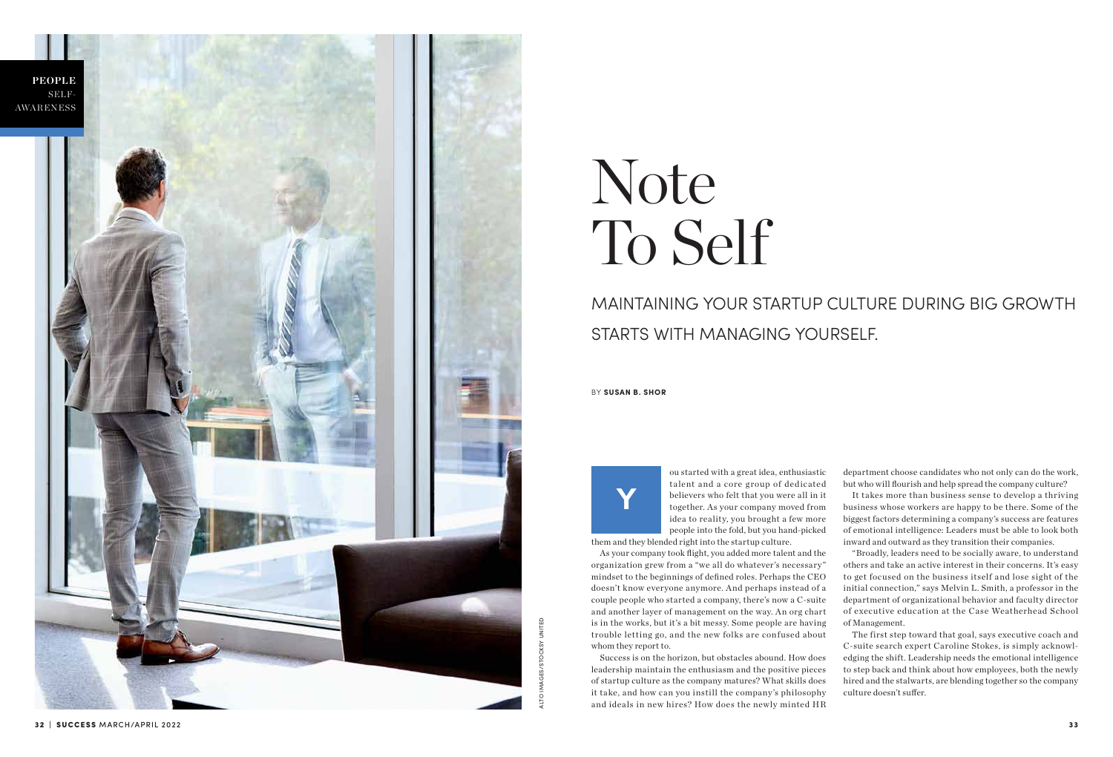

ou started with a great idea, enthusiastic talent and a core group of dedicated believers who felt that you were all in it together. As your company moved from idea to reality, you brought a few more people into the fold, but you hand-picked

them and they blended right into the startup culture.

As your company took flight, you added more talent and the organization grew from a "we all do whatever's necessary" mindset to the beginnings of defined roles. Perhaps the CEO doesn't know everyone anymore. And perhaps instead of a couple people who started a company, there's now a C-suite and another layer of management on the way. An org chart is in the works, but it's a bit messy. Some people are having trouble letting go, and the new folks are confused about whom they report to.

Success is on the horizon, but obstacles abound. How does leadership maintain the enthusiasm and the positive pieces of startup culture as the company matures? What skills does it take, and how can you instill the company 's philosophy and ideals in new hires? How does the newly minted HR

department choose candidates who not only can do the work, but who will flourish and help spread the company culture?

It takes more than business sense to develop a thriving business whose workers are happy to be there. Some of the biggest factors determining a company's success are features of emotional intelligence: Leaders must be able to look both inward and outward as they transition their companies.

"Broadly, leaders need to be socially aware, to understand others and take an active interest in their concerns. It's easy to get focused on the business itself and lose sight of the initial connection," says Melvin L. Smith, a professor in the department of organizational behavior and faculty director of executive education at the Case Weatherhead School of Management.

The first step toward that goal, says executive coach and C-suite search expert Caroline Stokes, is simply acknowledging the shift. Leadership needs the emotional intelligence

to step back and think about how employees, both the newly hired and the stalwarts, are blending together so the company culture doesn't suffer.

**Y**

BY **SUSAN B. SHOR**

# Note To Self

# MAINTAINING YOUR STARTUP CULTURE DURING BIG GROWTH STARTS WITH MANAGING YOURSELF.

ALTO IMAGES/STOCKSY UNITED